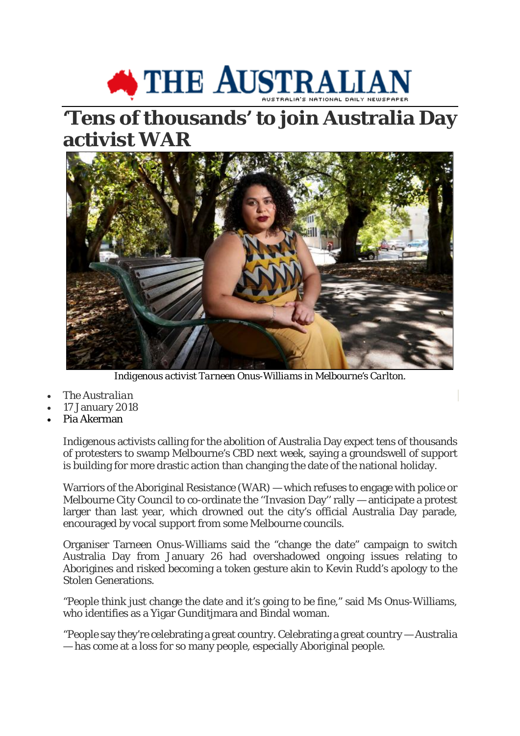## THE AUSTRALIAN

## **'Tens of thousands' to join Australia Day activist WAR**



*Indigenous activist Tarneen Onus-Williams in Melbourne's Carlton.*

- *The Australian*
- 17 January 2018
- Pia Akerman

Indigenous activists calling for the abolition of Australia Day expect tens of thousands of protesters to swamp Melbourne's CBD next week, saying a groundswell of support is building for more drastic action than changing the date of the national holiday.

Warriors of the Aboriginal Resistance (WAR) — which refuses to engage with police or Melbourne City Council to co-ordinate the ''Invasion Day'' rally — anticipate a protest larger than last year, which drowned out the city's official Australia Day parade, encouraged by vocal support from some Melbourne councils.

Organiser Tarneen Onus-Williams said the "change the date" campaign to switch Australia Day from January 26 had overshadowed ongoing issues relating to Aborigines and risked becoming a token gesture akin to Kevin Rudd's apology to the Stolen Generations.

"People think just change the date and it's going to be fine," said Ms Onus-Williams, who identifies as a Yigar Gunditjmara and Bindal woman.

"People say they're celebrating a great country. Celebrating a great country — Australia — has come at a loss for so many people, especially Aboriginal people.